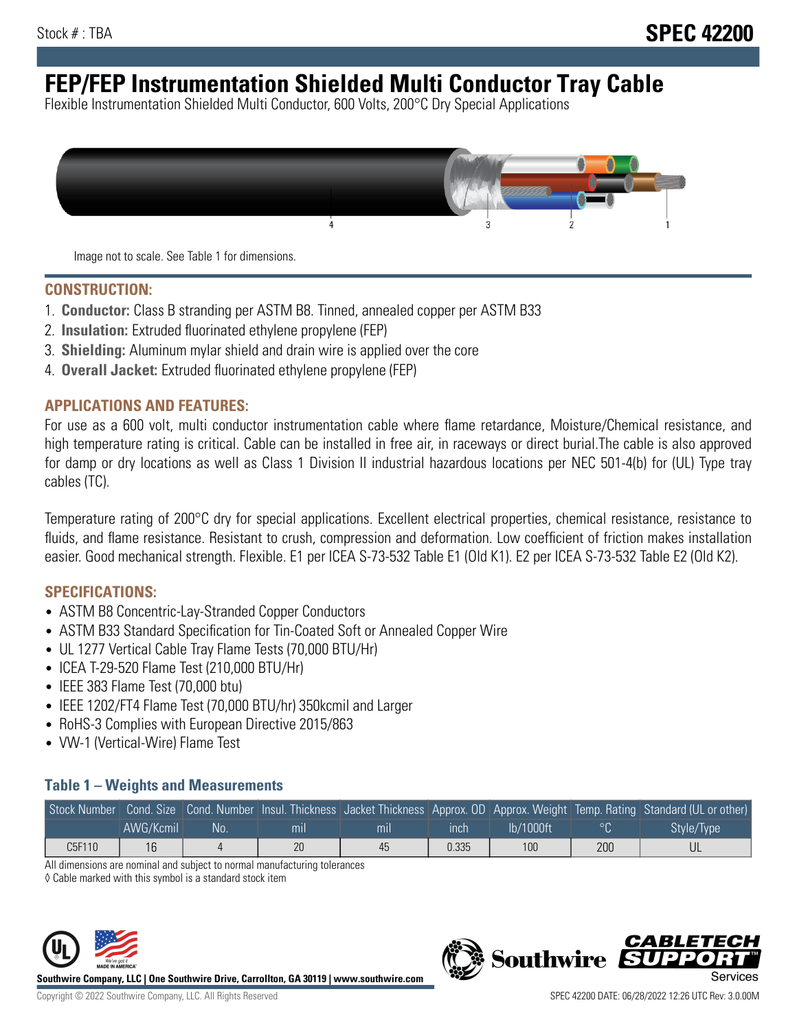# **FEP/FEP Instrumentation Shielded Multi Conductor Tray Cable**

Flexible Instrumentation Shielded Multi Conductor, 600 Volts, 200°C Dry Special Applications



Image not to scale. See Table 1 for dimensions.

#### **CONSTRUCTION:**

- 1. **Conductor:** Class B stranding per ASTM B8. Tinned, annealed copper per ASTM B33
- 2. **Insulation:** Extruded fluorinated ethylene propylene (FEP)
- 3. **Shielding:** Aluminum mylar shield and drain wire is applied over the core
- 4. **Overall Jacket:** Extruded fluorinated ethylene propylene (FEP)

#### **APPLICATIONS AND FEATURES:**

For use as a 600 volt, multi conductor instrumentation cable where flame retardance, Moisture/Chemical resistance, and high temperature rating is critical. Cable can be installed in free air, in raceways or direct burial.The cable is also approved for damp or dry locations as well as Class 1 Division II industrial hazardous locations per NEC 501-4(b) for (UL) Type tray cables (TC).

Temperature rating of 200°C dry for special applications. Excellent electrical properties, chemical resistance, resistance to fluids, and flame resistance. Resistant to crush, compression and deformation. Low coefficient of friction makes installation easier. Good mechanical strength. Flexible. E1 per ICEA S-73-532 Table E1 (Old K1). E2 per ICEA S-73-532 Table E2 (Old K2).

#### **SPECIFICATIONS:**

- ASTM B8 Concentric-Lay-Stranded Copper Conductors
- ASTM B33 Standard Specification for Tin-Coated Soft or Annealed Copper Wire
- UL 1277 Vertical Cable Tray Flame Tests (70,000 BTU/Hr)
- ICEA T-29-520 Flame Test (210,000 BTU/Hr)
- IEEE 383 Flame Test (70,000 btu)
- IEEE 1202/FT4 Flame Test (70,000 BTU/hr) 350kcmil and Larger
- RoHS-3 Complies with European Directive 2015/863
- VW-1 (Vertical-Wire) Flame Test

### **Table 1 – Weights and Measurements**

|        |           |     |     |     |       |              |     | Stock Number Cond. Size Cond. Number Insul. Thickness Jacket Thickness Approx. OD Approx. Weight Temp. Rating Standard (UL or other) |
|--------|-----------|-----|-----|-----|-------|--------------|-----|--------------------------------------------------------------------------------------------------------------------------------------|
|        | AWG/Kcmil | .No | mil | mıl | ınch  | $lb/1000$ ft |     | Style/Type                                                                                                                           |
| C5F110 | 16        |     | 20  | 45  | 0.335 | 100          | 200 |                                                                                                                                      |

All dimensions are nominal and subject to normal manufacturing tolerances

◊ Cable marked with this symbol is a standard stock item



**Southwire Company, LLC | One Southwire Drive, Carrollton, GA 30119 | www.southwire.com**